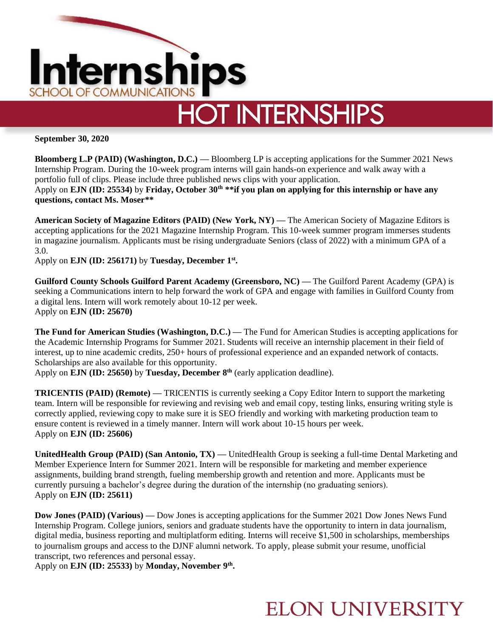

**HOT INTERNSHIPS** 

**September 30, 2020**

**Bloomberg L.P (PAID) (Washington, D.C.) — Bloomberg LP is accepting applications for the Summer 2021 News** Internship Program. During the 10-week program interns will gain hands-on experience and walk away with a portfolio full of clips. Please include three published news clips with your application.

Apply on **EJN (ID: 25534)** by **Friday, October 30th \*\*if you plan on applying for this internship or have any questions, contact Ms. Moser\*\***

**American Society of Magazine Editors (PAID) (New York, NY) —** The American Society of Magazine Editors is accepting applications for the 2021 Magazine Internship Program. This 10-week summer program immerses students in magazine journalism. Applicants must be rising undergraduate Seniors (class of 2022) with a minimum GPA of a 3.0.

Apply on **EJN (ID: 256171)** by **Tuesday, December 1st .** 

**Guilford County Schools Guilford Parent Academy (Greensboro, NC) —** The Guilford Parent Academy (GPA) is seeking a Communications intern to help forward the work of GPA and engage with families in Guilford County from a digital lens. Intern will work remotely about 10-12 per week. Apply on **EJN (ID: 25670)**

**The Fund for American Studies (Washington, D.C.) —** The Fund for American Studies is accepting applications for the Academic Internship Programs for Summer 2021. Students will receive an internship placement in their field of interest, up to nine academic credits, 250+ hours of professional experience and an expanded network of contacts. Scholarships are also available for this opportunity.

Apply on **EJN (ID: 25650)** by **Tuesday, December 8th** (early application deadline).

**TRICENTIS (PAID) (Remote) —** TRICENTIS is currently seeking a Copy Editor Intern to support the marketing team. Intern will be responsible for reviewing and revising web and email copy, testing links, ensuring writing style is correctly applied, reviewing copy to make sure it is SEO friendly and working with marketing production team to ensure content is reviewed in a timely manner. Intern will work about 10-15 hours per week. Apply on **EJN (ID: 25606)** 

**UnitedHealth Group (PAID) (San Antonio, TX) —** UnitedHealth Group is seeking a full-time Dental Marketing and Member Experience Intern for Summer 2021. Intern will be responsible for marketing and member experience assignments, building brand strength, fueling membership growth and retention and more. Applicants must be currently pursuing a bachelor's degree during the duration of the internship (no graduating seniors). Apply on **EJN (ID: 25611)** 

**Dow Jones (PAID) (Various) —** Dow Jones is accepting applications for the Summer 2021 Dow Jones News Fund Internship Program. College juniors, seniors and graduate students have the opportunity to intern in data journalism, digital media, business reporting and multiplatform editing. Interns will receive \$1,500 in scholarships, memberships to journalism groups and access to the DJNF alumni network. To apply, please submit your resume, unofficial transcript, two references and personal essay.

Apply on **EJN (ID: 25533)** by **Monday, November 9th .**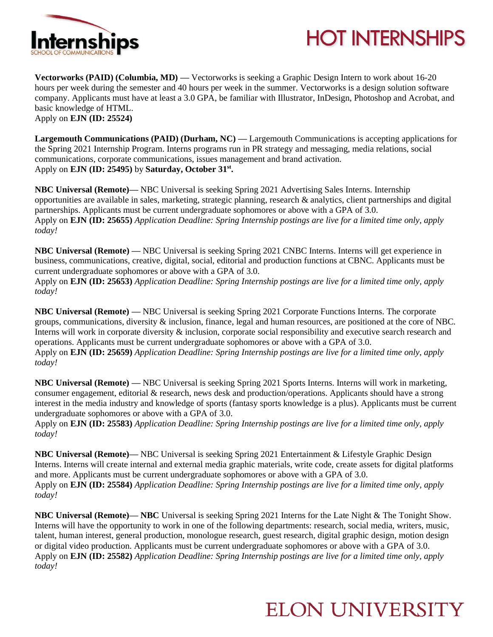



**Vectorworks (PAID) (Columbia, MD) — Vectorworks is seeking a Graphic Design Intern to work about 16-20** hours per week during the semester and 40 hours per week in the summer. Vectorworks is a design solution software company. Applicants must have at least a 3.0 GPA, be familiar with Illustrator, InDesign, Photoshop and Acrobat, and basic knowledge of HTML. Apply on **EJN (ID: 25524)** 

**Largemouth Communications (PAID) (Durham, NC) —** Largemouth Communications is accepting applications for the Spring 2021 Internship Program. Interns programs run in PR strategy and messaging, media relations, social communications, corporate communications, issues management and brand activation. Apply on **EJN (ID: 25495)** by **Saturday, October 31st .** 

**NBC Universal (Remote)—** NBC Universal is seeking Spring 2021 Advertising Sales Interns. Internship opportunities are available in sales, marketing, strategic planning, research & analytics, client partnerships and digital partnerships. Applicants must be current undergraduate sophomores or above with a GPA of 3.0. Apply on **EJN (ID: 25655)** *Application Deadline: Spring Internship postings are live for a limited time only, apply today!*

**NBC Universal (Remote) —** NBC Universal is seeking Spring 2021 CNBC Interns. Interns will get experience in business, communications, creative, digital, social, editorial and production functions at CBNC. Applicants must be current undergraduate sophomores or above with a GPA of 3.0.

Apply on **EJN (ID: 25653)** *Application Deadline: Spring Internship postings are live for a limited time only, apply today!*

**NBC Universal (Remote) —** NBC Universal is seeking Spring 2021 Corporate Functions Interns. The corporate groups, communications, diversity & inclusion, finance, legal and human resources, are positioned at the core of NBC. Interns will work in corporate diversity & inclusion, corporate social responsibility and executive search research and operations. Applicants must be current undergraduate sophomores or above with a GPA of 3.0. Apply on **EJN (ID: 25659)** *Application Deadline: Spring Internship postings are live for a limited time only, apply today!*

**NBC Universal (Remote) —** NBC Universal is seeking Spring 2021 Sports Interns. Interns will work in marketing, consumer engagement, editorial & research, news desk and production/operations. Applicants should have a strong interest in the media industry and knowledge of sports (fantasy sports knowledge is a plus). Applicants must be current undergraduate sophomores or above with a GPA of 3.0.

Apply on **EJN (ID: 25583)** *Application Deadline: Spring Internship postings are live for a limited time only, apply today!*

**NBC Universal (Remote)—** NBC Universal is seeking Spring 2021 Entertainment & Lifestyle Graphic Design Interns. Interns will create internal and external media graphic materials, write code, create assets for digital platforms and more. Applicants must be current undergraduate sophomores or above with a GPA of 3.0. Apply on **EJN (ID: 25584)** *Application Deadline: Spring Internship postings are live for a limited time only, apply today!*

**NBC Universal (Remote)— NBC** Universal is seeking Spring 2021 Interns for the Late Night & The Tonight Show. Interns will have the opportunity to work in one of the following departments: research, social media, writers, music, talent, human interest, general production, monologue research, guest research, digital graphic design, motion design or digital video production. Applicants must be current undergraduate sophomores or above with a GPA of 3.0. Apply on **EJN (ID: 25582)** *Application Deadline: Spring Internship postings are live for a limited time only, apply today!*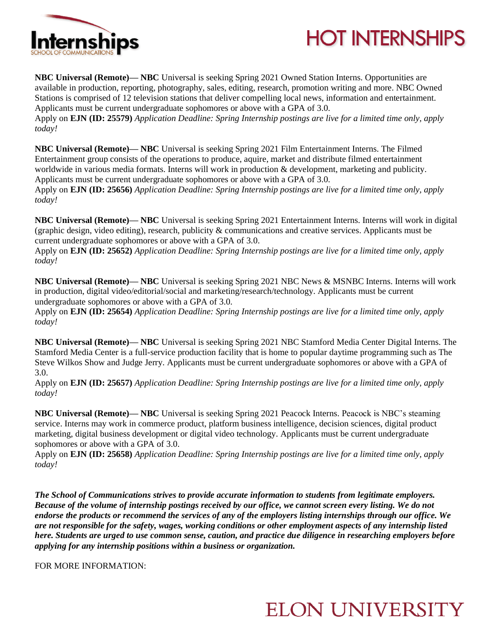



**NBC Universal (Remote)— NBC** Universal is seeking Spring 2021 Owned Station Interns. Opportunities are available in production, reporting, photography, sales, editing, research, promotion writing and more. NBC Owned Stations is comprised of 12 television stations that deliver compelling local news, information and entertainment. Applicants must be current undergraduate sophomores or above with a GPA of 3.0. Apply on **EJN (ID: 25579)** *Application Deadline: Spring Internship postings are live for a limited time only, apply* 

*today!*

**NBC Universal (Remote)— NBC** Universal is seeking Spring 2021 Film Entertainment Interns. The Filmed Entertainment group consists of the operations to produce, aquire, market and distribute filmed entertainment worldwide in various media formats. Interns will work in production & development, marketing and publicity. Applicants must be current undergraduate sophomores or above with a GPA of 3.0.

Apply on **EJN (ID: 25656)** *Application Deadline: Spring Internship postings are live for a limited time only, apply today!*

**NBC Universal (Remote)— NBC** Universal is seeking Spring 2021 Entertainment Interns. Interns will work in digital (graphic design, video editing), research, publicity & communications and creative services. Applicants must be current undergraduate sophomores or above with a GPA of 3.0.

Apply on **EJN (ID: 25652)** *Application Deadline: Spring Internship postings are live for a limited time only, apply today!*

**NBC Universal (Remote)— NBC** Universal is seeking Spring 2021 NBC News & MSNBC Interns. Interns will work in production, digital video/editorial/social and marketing/research/technology. Applicants must be current undergraduate sophomores or above with a GPA of 3.0.

Apply on **EJN (ID: 25654)** *Application Deadline: Spring Internship postings are live for a limited time only, apply today!*

**NBC Universal (Remote)— NBC** Universal is seeking Spring 2021 NBC Stamford Media Center Digital Interns. The Stamford Media Center is a full-service production facility that is home to popular daytime programming such as The Steve Wilkos Show and Judge Jerry. Applicants must be current undergraduate sophomores or above with a GPA of 3.0.

Apply on **EJN (ID: 25657)** *Application Deadline: Spring Internship postings are live for a limited time only, apply today!*

**NBC Universal (Remote)— NBC** Universal is seeking Spring 2021 Peacock Interns. Peacock is NBC's steaming service. Interns may work in commerce product, platform business intelligence, decision sciences, digital product marketing, digital business development or digital video technology. Applicants must be current undergraduate sophomores or above with a GPA of 3.0.

Apply on **EJN (ID: 25658)** *Application Deadline: Spring Internship postings are live for a limited time only, apply today!*

*The School of Communications strives to provide accurate information to students from legitimate employers. Because of the volume of internship postings received by our office, we cannot screen every listing. We do not endorse the products or recommend the services of any of the employers listing internships through our office. We are not responsible for the safety, wages, working conditions or other employment aspects of any internship listed here. Students are urged to use common sense, caution, and practice due diligence in researching employers before applying for any internship positions within a business or organization.*

FOR MORE INFORMATION: